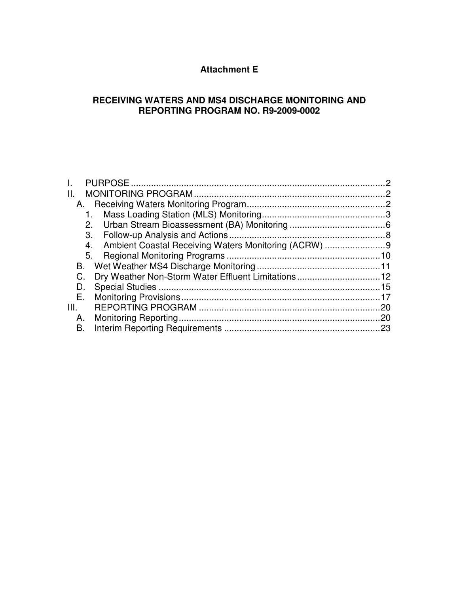# **Attachment E**

## **RECEIVING WATERS AND MS4 DISCHARGE MONITORING AND REPORTING PROGRAM NO. R9-2009-0002**

| Ш.   |                                                     |    |
|------|-----------------------------------------------------|----|
|      |                                                     |    |
|      |                                                     |    |
|      | 2.                                                  |    |
|      | 3.                                                  |    |
|      | 4.                                                  |    |
|      | 5.                                                  |    |
|      |                                                     |    |
| C.   | Dry Weather Non-Storm Water Effluent Limitations 12 |    |
| D.   |                                                     |    |
| Е.   |                                                     |    |
| III. |                                                     | 20 |
| А.   |                                                     |    |
| В.   |                                                     |    |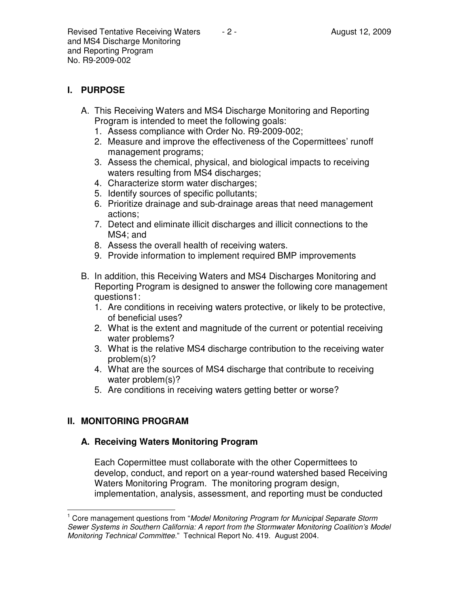# **I. PURPOSE**

- A. This Receiving Waters and MS4 Discharge Monitoring and Reporting Program is intended to meet the following goals:
	- 1. Assess compliance with Order No. R9-2009-002;
	- 2. Measure and improve the effectiveness of the Copermittees' runoff management programs;
	- 3. Assess the chemical, physical, and biological impacts to receiving waters resulting from MS4 discharges;
	- 4. Characterize storm water discharges;
	- 5. Identify sources of specific pollutants;
	- 6. Prioritize drainage and sub-drainage areas that need management actions;
	- 7. Detect and eliminate illicit discharges and illicit connections to the MS4; and
	- 8. Assess the overall health of receiving waters.
	- 9. Provide information to implement required BMP improvements
- B. In addition, this Receiving Waters and MS4 Discharges Monitoring and Reporting Program is designed to answer the following core management questions1:
	- 1. Are conditions in receiving waters protective, or likely to be protective, of beneficial uses?
	- 2. What is the extent and magnitude of the current or potential receiving water problems?
	- 3. What is the relative MS4 discharge contribution to the receiving water problem(s)?
	- 4. What are the sources of MS4 discharge that contribute to receiving water problem(s)?
	- 5. Are conditions in receiving waters getting better or worse?

# **II. MONITORING PROGRAM**

## **A. Receiving Waters Monitoring Program**

Each Copermittee must collaborate with the other Copermittees to develop, conduct, and report on a year-round watershed based Receiving Waters Monitoring Program. The monitoring program design, implementation, analysis, assessment, and reporting must be conducted

 $\overline{1}$ <sup>1</sup> Core management questions from "Model Monitoring Program for Municipal Separate Storm Sewer Systems in Southern California: A report from the Stormwater Monitoring Coalition's Model Monitoring Technical Committee." Technical Report No. 419. August 2004.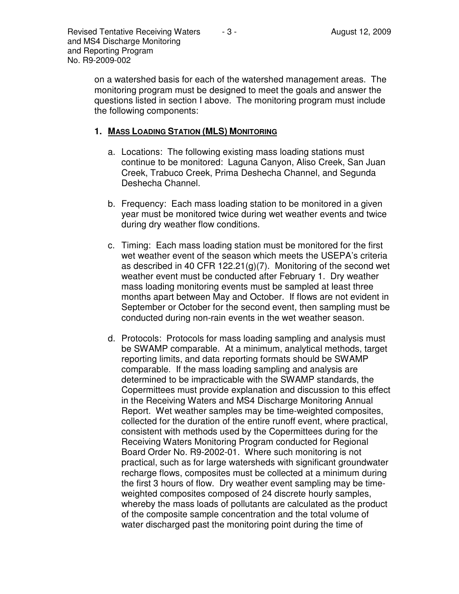on a watershed basis for each of the watershed management areas. The monitoring program must be designed to meet the goals and answer the questions listed in section I above. The monitoring program must include the following components:

#### **1. MASS LOADING STATION (MLS) MONITORING**

- a. Locations: The following existing mass loading stations must continue to be monitored: Laguna Canyon, Aliso Creek, San Juan Creek, Trabuco Creek, Prima Deshecha Channel, and Segunda Deshecha Channel.
- b. Frequency: Each mass loading station to be monitored in a given year must be monitored twice during wet weather events and twice during dry weather flow conditions.
- c. Timing: Each mass loading station must be monitored for the first wet weather event of the season which meets the USEPA's criteria as described in 40 CFR 122.21(g)(7). Monitoring of the second wet weather event must be conducted after February 1. Dry weather mass loading monitoring events must be sampled at least three months apart between May and October. If flows are not evident in September or October for the second event, then sampling must be conducted during non-rain events in the wet weather season.
- d. Protocols: Protocols for mass loading sampling and analysis must be SWAMP comparable. At a minimum, analytical methods, target reporting limits, and data reporting formats should be SWAMP comparable. If the mass loading sampling and analysis are determined to be impracticable with the SWAMP standards, the Copermittees must provide explanation and discussion to this effect in the Receiving Waters and MS4 Discharge Monitoring Annual Report. Wet weather samples may be time-weighted composites, collected for the duration of the entire runoff event, where practical, consistent with methods used by the Copermittees during for the Receiving Waters Monitoring Program conducted for Regional Board Order No. R9-2002-01. Where such monitoring is not practical, such as for large watersheds with significant groundwater recharge flows, composites must be collected at a minimum during the first 3 hours of flow. Dry weather event sampling may be timeweighted composites composed of 24 discrete hourly samples, whereby the mass loads of pollutants are calculated as the product of the composite sample concentration and the total volume of water discharged past the monitoring point during the time of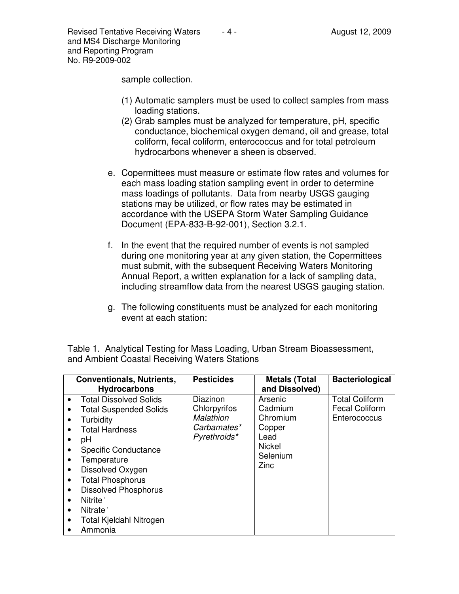sample collection.

- (1) Automatic samplers must be used to collect samples from mass loading stations.
- (2) Grab samples must be analyzed for temperature, pH, specific conductance, biochemical oxygen demand, oil and grease, total coliform, fecal coliform, enterococcus and for total petroleum hydrocarbons whenever a sheen is observed.
- e. Copermittees must measure or estimate flow rates and volumes for each mass loading station sampling event in order to determine mass loadings of pollutants. Data from nearby USGS gauging stations may be utilized, or flow rates may be estimated in accordance with the USEPA Storm Water Sampling Guidance Document (EPA-833-B-92-001), Section 3.2.1.
- f. In the event that the required number of events is not sampled during one monitoring year at any given station, the Copermittees must submit, with the subsequent Receiving Waters Monitoring Annual Report, a written explanation for a lack of sampling data, including streamflow data from the nearest USGS gauging station.
- g. The following constituents must be analyzed for each monitoring event at each station:

Table 1. Analytical Testing for Mass Loading, Urban Stream Bioassessment, and Ambient Coastal Receiving Waters Stations

| <b>Pesticides</b>                                                    | <b>Metals (Total</b>                                                                                                                                                                 | <b>Bacteriological</b>                                         |
|----------------------------------------------------------------------|--------------------------------------------------------------------------------------------------------------------------------------------------------------------------------------|----------------------------------------------------------------|
|                                                                      | and Dissolved)                                                                                                                                                                       |                                                                |
| Diazinon<br>Chlorpyrifos<br>Malathion<br>Carbamates*<br>Pyrethroids* | Arsenic<br>Cadmium<br>Chromium<br>Copper<br>Lead<br><b>Nickel</b><br>Selenium<br>Zinc                                                                                                | <b>Total Coliform</b><br><b>Fecal Coliform</b><br>Enterococcus |
|                                                                      | <b>Conventionals, Nutrients,</b><br><b>Total Dissolved Solids</b><br><b>Total Suspended Solids</b><br>Specific Conductance<br><b>Dissolved Phosphorus</b><br>Total Kjeldahl Nitrogen |                                                                |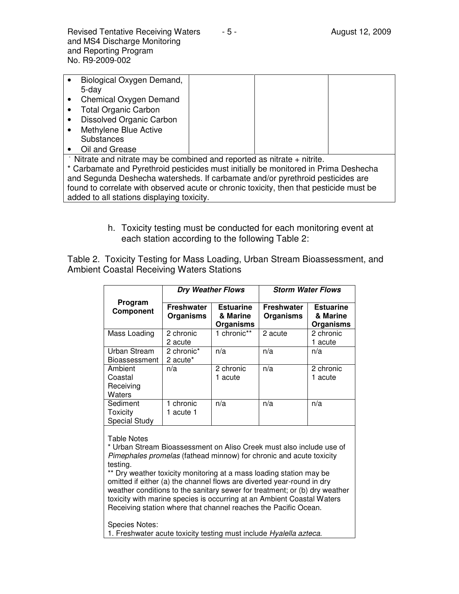|                                                                                     | Biological Oxygen Demand,       |  |  |  |
|-------------------------------------------------------------------------------------|---------------------------------|--|--|--|
|                                                                                     | 5-day                           |  |  |  |
|                                                                                     | Chemical Oxygen Demand          |  |  |  |
|                                                                                     | <b>Total Organic Carbon</b>     |  |  |  |
|                                                                                     | <b>Dissolved Organic Carbon</b> |  |  |  |
|                                                                                     | Methylene Blue Active           |  |  |  |
|                                                                                     | <b>Substances</b>               |  |  |  |
|                                                                                     | Oil and Grease                  |  |  |  |
| Nitrate and nitrate may be combined and reported as nitrate + nitrite.              |                                 |  |  |  |
| * Carbamate and Pyrethroid pesticides must initially be monitored in Prima Deshecha |                                 |  |  |  |
| and Segunda Deshecha watersheds. If carbamate and/or pyrethroid pesticides are      |                                 |  |  |  |

found to correlate with observed acute or chronic toxicity, then that pesticide must be added to all stations displaying toxicity.

> h. Toxicity testing must be conducted for each monitoring event at each station according to the following Table 2:

Table 2. Toxicity Testing for Mass Loading, Urban Stream Bioassessment, and Ambient Coastal Receiving Waters Stations

|                                              | <b>Dry Weather Flows</b>              |                                           | <b>Storm Water Flows</b>              |                                           |
|----------------------------------------------|---------------------------------------|-------------------------------------------|---------------------------------------|-------------------------------------------|
| Program<br>Component                         | <b>Freshwater</b><br><b>Organisms</b> | <b>Estuarine</b><br>& Marine<br>Organisms | <b>Freshwater</b><br><b>Organisms</b> | <b>Estuarine</b><br>& Marine<br>Organisms |
| Mass Loading                                 | 2 chronic<br>2 acute                  | 1 chronic**                               | 2 acute                               | 2 chronic<br>1 acute                      |
| Urban Stream<br><b>Bioassessment</b>         | 2 chronic*<br>2 acute <sup>*</sup>    | n/a                                       | n/a                                   | n/a                                       |
| Ambient<br>Coastal<br>Receiving<br>Waters    | n/a                                   | 2 chronic<br>1 acute                      | n/a                                   | 2 chronic<br>1 acute                      |
| Sediment<br>Toxicity<br><b>Special Study</b> | 1 chronic<br>acute 1                  | n/a                                       | n/a                                   | n/a                                       |

Table Notes

\* Urban Stream Bioassessment on Aliso Creek must also include use of Pimephales promelas (fathead minnow) for chronic and acute toxicity testing.

\*\* Dry weather toxicity monitoring at a mass loading station may be omitted if either (a) the channel flows are diverted year-round in dry weather conditions to the sanitary sewer for treatment; or (b) dry weather toxicity with marine species is occurring at an Ambient Coastal Waters Receiving station where that channel reaches the Pacific Ocean.

Species Notes:

1. Freshwater acute toxicity testing must include Hyalella azteca.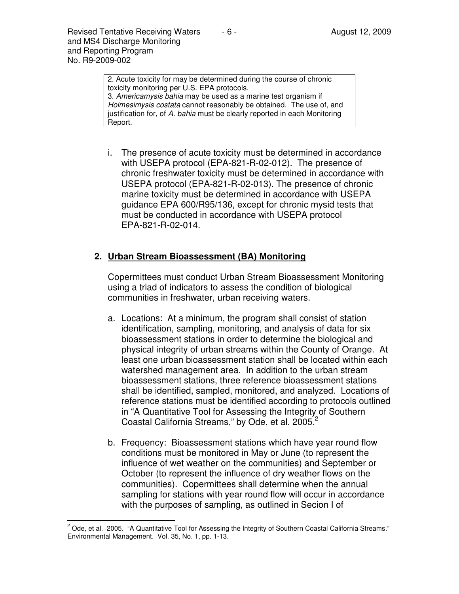Revised Tentative Receiving Waters  $\overline{a}$  - 6 -  $\overline{a}$  August 12, 2009 and MS4 Discharge Monitoring and Reporting Program No. R9-2009-002

> 2. Acute toxicity for may be determined during the course of chronic toxicity monitoring per U.S. EPA protocols. 3. Americamysis bahia may be used as a marine test organism if Holmesimysis costata cannot reasonably be obtained. The use of, and justification for, of A. bahia must be clearly reported in each Monitoring Report.

i. The presence of acute toxicity must be determined in accordance with USEPA protocol (EPA-821-R-02-012). The presence of chronic freshwater toxicity must be determined in accordance with USEPA protocol (EPA-821-R-02-013). The presence of chronic marine toxicity must be determined in accordance with USEPA guidance EPA 600/R95/136, except for chronic mysid tests that must be conducted in accordance with USEPA protocol EPA-821-R-02-014.

### **2. Urban Stream Bioassessment (BA) Monitoring**

Copermittees must conduct Urban Stream Bioassessment Monitoring using a triad of indicators to assess the condition of biological communities in freshwater, urban receiving waters.

- a. Locations: At a minimum, the program shall consist of station identification, sampling, monitoring, and analysis of data for six bioassessment stations in order to determine the biological and physical integrity of urban streams within the County of Orange. At least one urban bioassessment station shall be located within each watershed management area. In addition to the urban stream bioassessment stations, three reference bioassessment stations shall be identified, sampled, monitored, and analyzed. Locations of reference stations must be identified according to protocols outlined in "A Quantitative Tool for Assessing the Integrity of Southern Coastal California Streams," by Ode, et al. 2005. $2$
- b. Frequency: Bioassessment stations which have year round flow conditions must be monitored in May or June (to represent the influence of wet weather on the communities) and September or October (to represent the influence of dry weather flows on the communities). Copermittees shall determine when the annual sampling for stations with year round flow will occur in accordance with the purposes of sampling, as outlined in Secion I of

 2 Ode, et al. 2005. "A Quantitative Tool for Assessing the Integrity of Southern Coastal California Streams." Environmental Management. Vol. 35, No. 1, pp. 1-13.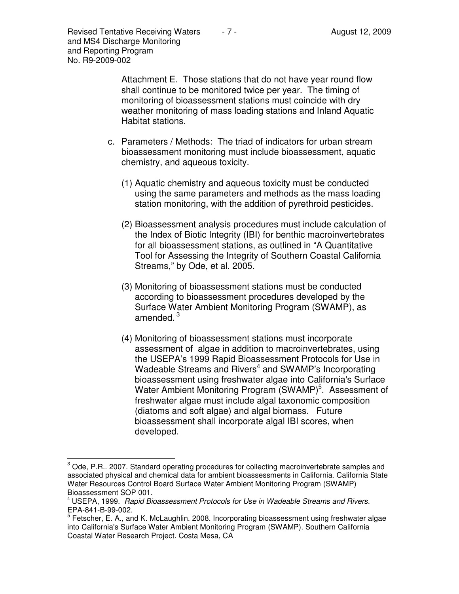Attachment E. Those stations that do not have year round flow shall continue to be monitored twice per year. The timing of monitoring of bioassessment stations must coincide with dry weather monitoring of mass loading stations and Inland Aquatic Habitat stations.

- c. Parameters / Methods: The triad of indicators for urban stream bioassessment monitoring must include bioassessment, aquatic chemistry, and aqueous toxicity.
	- (1) Aquatic chemistry and aqueous toxicity must be conducted using the same parameters and methods as the mass loading station monitoring, with the addition of pyrethroid pesticides.
	- (2) Bioassessment analysis procedures must include calculation of the Index of Biotic Integrity (IBI) for benthic macroinvertebrates for all bioassessment stations, as outlined in "A Quantitative Tool for Assessing the Integrity of Southern Coastal California Streams," by Ode, et al. 2005.
	- (3) Monitoring of bioassessment stations must be conducted according to bioassessment procedures developed by the Surface Water Ambient Monitoring Program (SWAMP), as amended. $^3$
	- (4) Monitoring of bioassessment stations must incorporate assessment of algae in addition to macroinvertebrates, using the USEPA's 1999 Rapid Bioassessment Protocols for Use in Wadeable Streams and Rivers<sup>4</sup> and SWAMP's Incorporating bioassessment using freshwater algae into California's Surface Water Ambient Monitoring Program (SWAMP)<sup>5</sup>. Assessment of freshwater algae must include algal taxonomic composition (diatoms and soft algae) and algal biomass. Future bioassessment shall incorporate algal IBI scores, when developed.

 3 Ode, P.R.. 2007. Standard operating procedures for collecting macroinvertebrate samples and associated physical and chemical data for ambient bioassessments in California. California State Water Resources Control Board Surface Water Ambient Monitoring Program (SWAMP) Bioassessment SOP 001.

<sup>4</sup> USEPA, 1999. Rapid Bioassessment Protocols for Use in Wadeable Streams and Rivers. EPA-841-B-99-002.

<sup>&</sup>lt;sup>5</sup> Fetscher, E. A., and K. McLaughlin. 2008. Incorporating bioassessment using freshwater algae into California's Surface Water Ambient Monitoring Program (SWAMP). Southern California Coastal Water Research Project. Costa Mesa, CA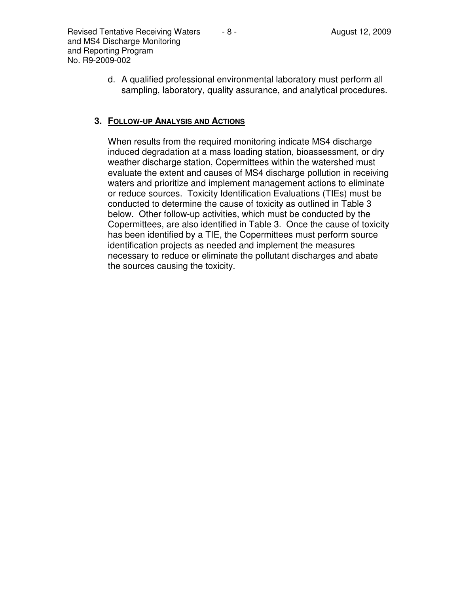d. A qualified professional environmental laboratory must perform all sampling, laboratory, quality assurance, and analytical procedures.

### **3. FOLLOW-UP ANALYSIS AND ACTIONS**

When results from the required monitoring indicate MS4 discharge induced degradation at a mass loading station, bioassessment, or dry weather discharge station, Copermittees within the watershed must evaluate the extent and causes of MS4 discharge pollution in receiving waters and prioritize and implement management actions to eliminate or reduce sources. Toxicity Identification Evaluations (TIEs) must be conducted to determine the cause of toxicity as outlined in Table 3 below. Other follow-up activities, which must be conducted by the Copermittees, are also identified in Table 3. Once the cause of toxicity has been identified by a TIE, the Copermittees must perform source identification projects as needed and implement the measures necessary to reduce or eliminate the pollutant discharges and abate the sources causing the toxicity.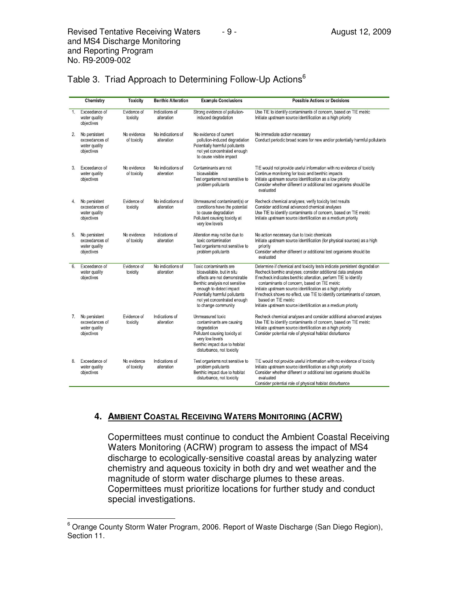|                | Chemistry                                                      | <b>Toxicity</b>            | <b>Benthic Alteration</b>       | <b>Example Conclusions</b>                                                                                                                                                                                                               | <b>Possible Actions or Decisions</b>                                                                                                                                                                                                                                                                                                                                                                                                                                                         |
|----------------|----------------------------------------------------------------|----------------------------|---------------------------------|------------------------------------------------------------------------------------------------------------------------------------------------------------------------------------------------------------------------------------------|----------------------------------------------------------------------------------------------------------------------------------------------------------------------------------------------------------------------------------------------------------------------------------------------------------------------------------------------------------------------------------------------------------------------------------------------------------------------------------------------|
| 1 <sub>1</sub> | Exceedance of<br>water quality<br>objectives                   | Evidence of<br>toxicity    | Indications of<br>alteration    | Strong evidence of pollution-<br>induced degradation                                                                                                                                                                                     | Use TIE to identify contaminants of concern, based on TIE metric<br>Initiate upstream source identification as a high priority                                                                                                                                                                                                                                                                                                                                                               |
| 2.             | No persistent<br>exceedances of<br>water quality<br>objectives | No evidence<br>of toxicity | No indications of<br>alteration | No evidence of current<br>pollution-induced degradation<br>Potentially harmful pollutants<br>not yet concentrated enough<br>to cause visible impact                                                                                      | No immediate action necessary<br>Conduct periodic broad scans for new and/or potentially harmful pollutants                                                                                                                                                                                                                                                                                                                                                                                  |
| 3.             | Exceedance of<br>water quality<br>objectives                   | No evidence<br>of toxicity | No indications of<br>alteration | Contaminants are not<br>bioavailable<br>Test organisms not sensitive to<br>problem pollutants                                                                                                                                            | TIE would not provide useful information with no evidence of toxicity<br>Continue monitoring for toxic and benthic impacts<br>Initiate upstream source identification as a low priority<br>Consider whether different or additional test organisms should be<br>evaluated                                                                                                                                                                                                                    |
| 4.             | No persistent<br>exceedances of<br>water quality<br>objectives | Evidence of<br>toxicity    | No indications of<br>alteration | Unmeasured contaminant(s) or<br>conditions have the potential<br>to cause degradation<br>Pollutant causing toxicity at<br>very low levels                                                                                                | Recheck chemical analyses; verify toxicity test results<br>Consider additional advanced chemical analyses<br>Use TIE to identify contaminants of concern, based on TIE metric<br>Initiate upstream source identification as a medium priority                                                                                                                                                                                                                                                |
| 5.             | No persistent<br>exceedances of<br>water quality<br>objectives | No evidence<br>of toxicity | Indications of<br>alteration    | Alteration may not be due to<br>toxic contamination<br>Test organisms not sensitive to<br>problem pollutants                                                                                                                             | No action necessary due to toxic chemicals<br>Initiate upstream source identification (for physical sources) as a high<br>priority<br>Consider whether different or additional test organisms should be<br>evaluated                                                                                                                                                                                                                                                                         |
| 6.             | Exceedance of<br>water quality<br>objectives                   | Evidence of<br>toxicity    | No indications of<br>alteration | Toxic contaminants are<br>bioavailable, but in situ<br>effects are not demonstrable<br>Benthic analysis not sensitive<br>enough to detect impact<br>Potentially harmful pollutants<br>not yet concentrated enough<br>to change community | Determine if chemical and toxicity tests indicate persistent degradation<br>Recheck benthic analyses; consider additional data analyses<br>If recheck indicates benthic alteration, perform TIE to identify<br>contaminants of concern, based on TIE metric<br>Initiate upstream source identification as a high priority<br>If recheck shows no effect, use TIE to identify contaminants of concern,<br>based on TIE metric<br>Initiate upstream source identification as a medium priority |
| 7.             | No persistent<br>exceedances of<br>water quality<br>objectives | Evidence of<br>toxicity    | Indications of<br>alteration    | Unmeasured toxic<br>contaminants are causing<br>degradation<br>Pollutant causing toxicity at<br>very low levels<br>Benthic impact due to habitat<br>disturbance, not toxicity                                                            | Recheck chemical analyses and consider additional advanced analyses<br>Use TIE to identify contaminants of concern, based on TIE metric<br>Initiate upstream source identification as a high priority<br>Consider potential role of physical habitat disturbance                                                                                                                                                                                                                             |
| 8.             | Exceedance of<br>water quality<br>objectives                   | No evidence<br>of toxicity | Indications of<br>alteration    | Test organisms not sensitive to<br>problem pollutants<br>Benthic impact due to habitat<br>disturbance, not toxicity                                                                                                                      | TIE would not provide useful information with no evidence of toxicity<br>Initiate upstream source identification as a high priority<br>Consider whether different or additional test organisms should be<br>evaluated<br>Consider potential role of physical habitat disturbance                                                                                                                                                                                                             |

### Table 3. Triad Approach to Determining Follow-Up Actions<sup>6</sup>

#### **4. AMBIENT COASTAL RECEIVING WATERS MONITORING (ACRW)**

Copermittees must continue to conduct the Ambient Coastal Receiving Waters Monitoring (ACRW) program to assess the impact of MS4 discharge to ecologically-sensitive coastal areas by analyzing water chemistry and aqueous toxicity in both dry and wet weather and the magnitude of storm water discharge plumes to these areas. Copermittees must prioritize locations for further study and conduct special investigations.

 6 Orange County Storm Water Program, 2006. Report of Waste Discharge (San Diego Region), Section 11.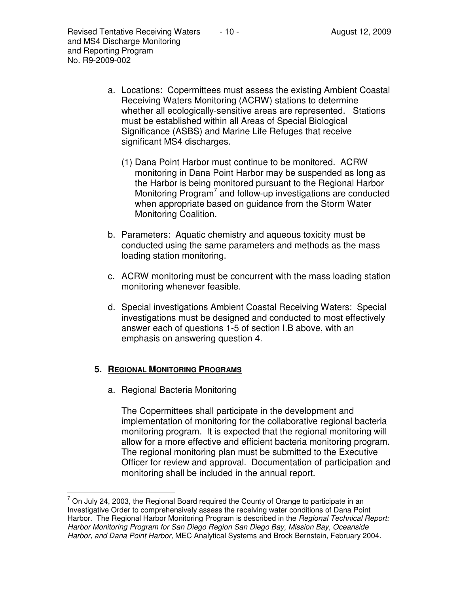- a. Locations: Copermittees must assess the existing Ambient Coastal Receiving Waters Monitoring (ACRW) stations to determine whether all ecologically-sensitive areas are represented. Stations must be established within all Areas of Special Biological Significance (ASBS) and Marine Life Refuges that receive significant MS4 discharges.
	- (1) Dana Point Harbor must continue to be monitored. ACRW monitoring in Dana Point Harbor may be suspended as long as the Harbor is being monitored pursuant to the Regional Harbor Monitoring Program<sup>7</sup> and follow-up investigations are conducted when appropriate based on guidance from the Storm Water Monitoring Coalition.
- b. Parameters: Aquatic chemistry and aqueous toxicity must be conducted using the same parameters and methods as the mass loading station monitoring.
- c. ACRW monitoring must be concurrent with the mass loading station monitoring whenever feasible.
- d. Special investigations Ambient Coastal Receiving Waters: Special investigations must be designed and conducted to most effectively answer each of questions 1-5 of section I.B above, with an emphasis on answering question 4.

## **5. REGIONAL MONITORING PROGRAMS**

a. Regional Bacteria Monitoring

The Copermittees shall participate in the development and implementation of monitoring for the collaborative regional bacteria monitoring program. It is expected that the regional monitoring will allow for a more effective and efficient bacteria monitoring program. The regional monitoring plan must be submitted to the Executive Officer for review and approval. Documentation of participation and monitoring shall be included in the annual report.

 7 On July 24, 2003, the Regional Board required the County of Orange to participate in an Investigative Order to comprehensively assess the receiving water conditions of Dana Point Harbor. The Regional Harbor Monitoring Program is described in the *Regional Technical Report:* Harbor Monitoring Program for San Diego Region San Diego Bay, Mission Bay, Oceanside Harbor, and Dana Point Harbor, MEC Analytical Systems and Brock Bernstein, February 2004.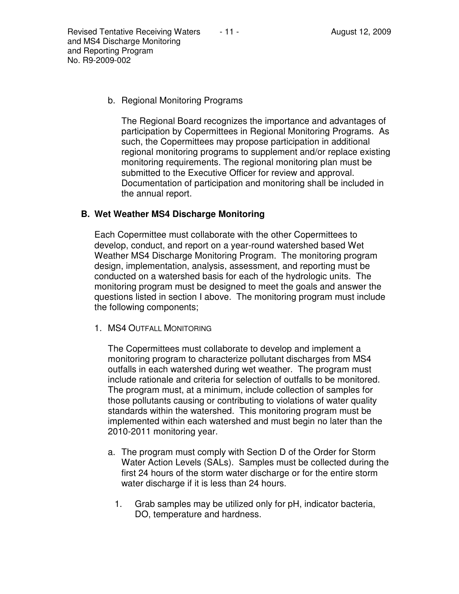b. Regional Monitoring Programs

The Regional Board recognizes the importance and advantages of participation by Copermittees in Regional Monitoring Programs. As such, the Copermittees may propose participation in additional regional monitoring programs to supplement and/or replace existing monitoring requirements. The regional monitoring plan must be submitted to the Executive Officer for review and approval. Documentation of participation and monitoring shall be included in the annual report.

## **B. Wet Weather MS4 Discharge Monitoring**

Each Copermittee must collaborate with the other Copermittees to develop, conduct, and report on a year-round watershed based Wet Weather MS4 Discharge Monitoring Program. The monitoring program design, implementation, analysis, assessment, and reporting must be conducted on a watershed basis for each of the hydrologic units. The monitoring program must be designed to meet the goals and answer the questions listed in section I above. The monitoring program must include the following components;

1. MS4 OUTFALL MONITORING

The Copermittees must collaborate to develop and implement a monitoring program to characterize pollutant discharges from MS4 outfalls in each watershed during wet weather. The program must include rationale and criteria for selection of outfalls to be monitored. The program must, at a minimum, include collection of samples for those pollutants causing or contributing to violations of water quality standards within the watershed. This monitoring program must be implemented within each watershed and must begin no later than the 2010-2011 monitoring year.

- a. The program must comply with Section D of the Order for Storm Water Action Levels (SALs). Samples must be collected during the first 24 hours of the storm water discharge or for the entire storm water discharge if it is less than 24 hours.
	- 1. Grab samples may be utilized only for pH, indicator bacteria, DO, temperature and hardness.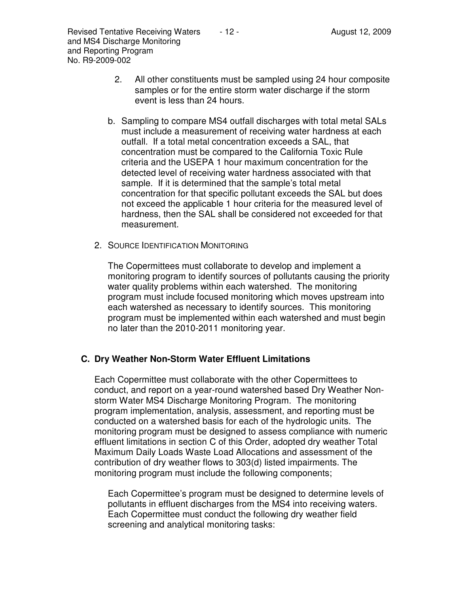- 2. All other constituents must be sampled using 24 hour composite samples or for the entire storm water discharge if the storm event is less than 24 hours.
- b. Sampling to compare MS4 outfall discharges with total metal SALs must include a measurement of receiving water hardness at each outfall. If a total metal concentration exceeds a SAL, that concentration must be compared to the California Toxic Rule criteria and the USEPA 1 hour maximum concentration for the detected level of receiving water hardness associated with that sample. If it is determined that the sample's total metal concentration for that specific pollutant exceeds the SAL but does not exceed the applicable 1 hour criteria for the measured level of hardness, then the SAL shall be considered not exceeded for that measurement.
- 2. SOURCE IDENTIFICATION MONITORING

The Copermittees must collaborate to develop and implement a monitoring program to identify sources of pollutants causing the priority water quality problems within each watershed. The monitoring program must include focused monitoring which moves upstream into each watershed as necessary to identify sources. This monitoring program must be implemented within each watershed and must begin no later than the 2010-2011 monitoring year.

## **C. Dry Weather Non-Storm Water Effluent Limitations**

Each Copermittee must collaborate with the other Copermittees to conduct, and report on a year-round watershed based Dry Weather Nonstorm Water MS4 Discharge Monitoring Program. The monitoring program implementation, analysis, assessment, and reporting must be conducted on a watershed basis for each of the hydrologic units. The monitoring program must be designed to assess compliance with numeric effluent limitations in section C of this Order, adopted dry weather Total Maximum Daily Loads Waste Load Allocations and assessment of the contribution of dry weather flows to 303(d) listed impairments. The monitoring program must include the following components;

Each Copermittee's program must be designed to determine levels of pollutants in effluent discharges from the MS4 into receiving waters. Each Copermittee must conduct the following dry weather field screening and analytical monitoring tasks: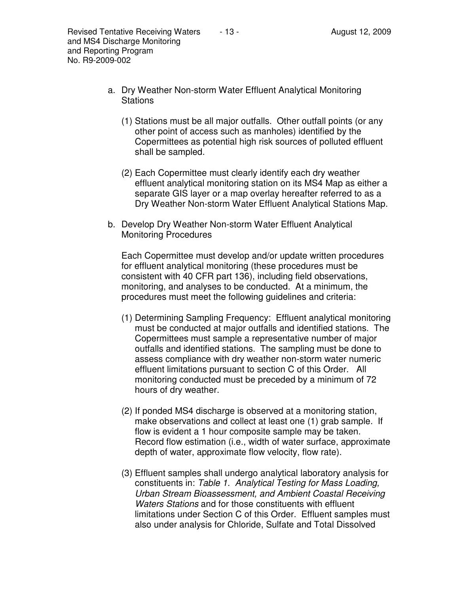- a. Dry Weather Non-storm Water Effluent Analytical Monitoring **Stations** 
	- (1) Stations must be all major outfalls. Other outfall points (or any other point of access such as manholes) identified by the Copermittees as potential high risk sources of polluted effluent shall be sampled.
	- (2) Each Copermittee must clearly identify each dry weather effluent analytical monitoring station on its MS4 Map as either a separate GIS layer or a map overlay hereafter referred to as a Dry Weather Non-storm Water Effluent Analytical Stations Map.
- b. Develop Dry Weather Non-storm Water Effluent Analytical Monitoring Procedures

Each Copermittee must develop and/or update written procedures for effluent analytical monitoring (these procedures must be consistent with 40 CFR part 136), including field observations, monitoring, and analyses to be conducted. At a minimum, the procedures must meet the following guidelines and criteria:

- (1) Determining Sampling Frequency: Effluent analytical monitoring must be conducted at major outfalls and identified stations. The Copermittees must sample a representative number of major outfalls and identified stations. The sampling must be done to assess compliance with dry weather non-storm water numeric effluent limitations pursuant to section C of this Order. All monitoring conducted must be preceded by a minimum of 72 hours of dry weather.
- (2) If ponded MS4 discharge is observed at a monitoring station, make observations and collect at least one (1) grab sample. If flow is evident a 1 hour composite sample may be taken. Record flow estimation (i.e., width of water surface, approximate depth of water, approximate flow velocity, flow rate).
- (3) Effluent samples shall undergo analytical laboratory analysis for constituents in: Table 1. Analytical Testing for Mass Loading, Urban Stream Bioassessment, and Ambient Coastal Receiving Waters Stations and for those constituents with effluent limitations under Section C of this Order. Effluent samples must also under analysis for Chloride, Sulfate and Total Dissolved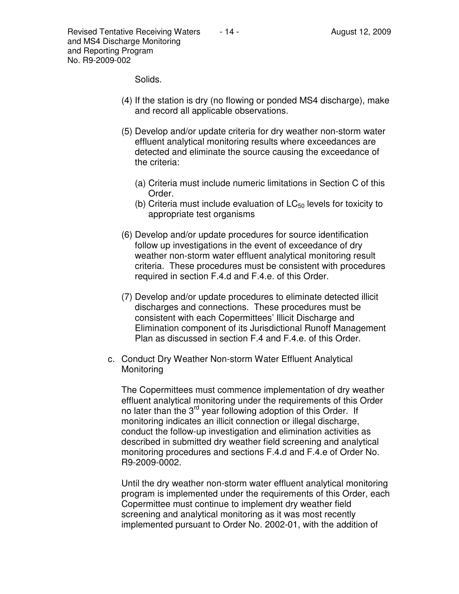Revised Tentative Receiving Waters  $\overline{a}$  - 14 -  $\overline{a}$  August 12, 2009 and MS4 Discharge Monitoring and Reporting Program No. R9-2009-002

Solids.

- (4) If the station is dry (no flowing or ponded MS4 discharge), make and record all applicable observations.
- (5) Develop and/or update criteria for dry weather non-storm water effluent analytical monitoring results where exceedances are detected and eliminate the source causing the exceedance of the criteria:
	- (a) Criteria must include numeric limitations in Section C of this Order.
	- (b) Criteria must include evaluation of  $LC_{50}$  levels for toxicity to appropriate test organisms
- (6) Develop and/or update procedures for source identification follow up investigations in the event of exceedance of dry weather non-storm water effluent analytical monitoring result criteria. These procedures must be consistent with procedures required in section F.4.d and F.4.e. of this Order.
- (7) Develop and/or update procedures to eliminate detected illicit discharges and connections. These procedures must be consistent with each Copermittees' Illicit Discharge and Elimination component of its Jurisdictional Runoff Management Plan as discussed in section F.4 and F.4.e. of this Order.
- c. Conduct Dry Weather Non-storm Water Effluent Analytical **Monitoring**

The Copermittees must commence implementation of dry weather effluent analytical monitoring under the requirements of this Order no later than the 3<sup>rd</sup> year following adoption of this Order. If monitoring indicates an illicit connection or illegal discharge, conduct the follow-up investigation and elimination activities as described in submitted dry weather field screening and analytical monitoring procedures and sections F.4.d and F.4.e of Order No. R9-2009-0002.

Until the dry weather non-storm water effluent analytical monitoring program is implemented under the requirements of this Order, each Copermittee must continue to implement dry weather field screening and analytical monitoring as it was most recently implemented pursuant to Order No. 2002-01, with the addition of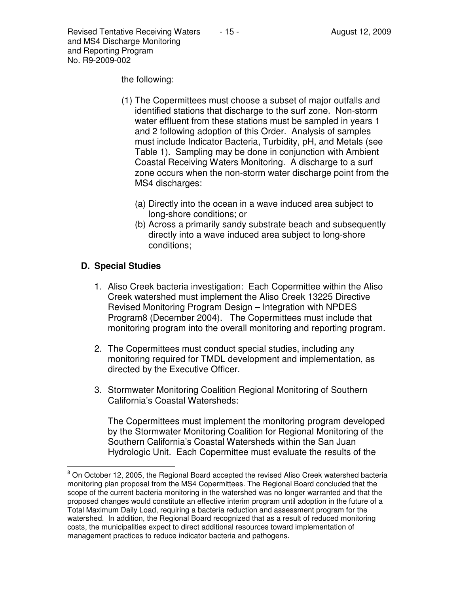Revised Tentative Receiving Waters  $\overline{a}$  - 15 -  $\overline{a}$  August 12, 2009 and MS4 Discharge Monitoring and Reporting Program No. R9-2009-002

the following:

- (1) The Copermittees must choose a subset of major outfalls and identified stations that discharge to the surf zone. Non-storm water effluent from these stations must be sampled in years 1 and 2 following adoption of this Order. Analysis of samples must include Indicator Bacteria, Turbidity, pH, and Metals (see Table 1). Sampling may be done in conjunction with Ambient Coastal Receiving Waters Monitoring. A discharge to a surf zone occurs when the non-storm water discharge point from the MS4 discharges:
	- (a) Directly into the ocean in a wave induced area subject to long-shore conditions; or
	- (b) Across a primarily sandy substrate beach and subsequently directly into a wave induced area subject to long-shore conditions;

## **D. Special Studies**

- 1. Aliso Creek bacteria investigation: Each Copermittee within the Aliso Creek watershed must implement the Aliso Creek 13225 Directive Revised Monitoring Program Design – Integration with NPDES Program8 (December 2004). The Copermittees must include that monitoring program into the overall monitoring and reporting program.
- 2. The Copermittees must conduct special studies, including any monitoring required for TMDL development and implementation, as directed by the Executive Officer.
- 3. Stormwater Monitoring Coalition Regional Monitoring of Southern California's Coastal Watersheds:

The Copermittees must implement the monitoring program developed by the Stormwater Monitoring Coalition for Regional Monitoring of the Southern California's Coastal Watersheds within the San Juan Hydrologic Unit. Each Copermittee must evaluate the results of the

 $\overline{\phantom{a}}$ <sup>8</sup> On October 12, 2005, the Regional Board accepted the revised Aliso Creek watershed bacteria monitoring plan proposal from the MS4 Copermittees. The Regional Board concluded that the scope of the current bacteria monitoring in the watershed was no longer warranted and that the proposed changes would constitute an effective interim program until adoption in the future of a Total Maximum Daily Load, requiring a bacteria reduction and assessment program for the watershed. In addition, the Regional Board recognized that as a result of reduced monitoring costs, the municipalities expect to direct additional resources toward implementation of management practices to reduce indicator bacteria and pathogens.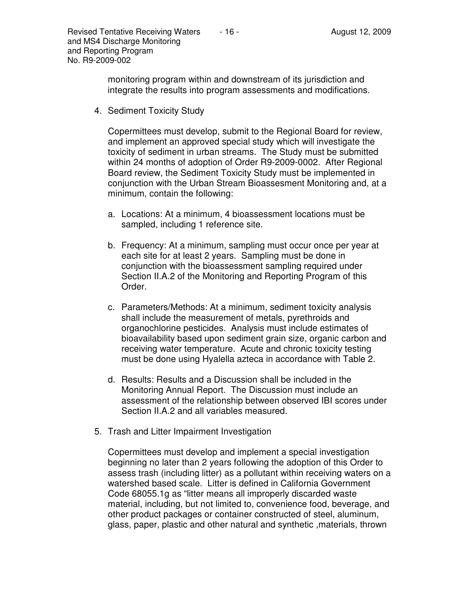monitoring program within and downstream of its jurisdiction and integrate the results into program assessments and modifications.

4. Sediment Toxicity Study

Copermittees must develop, submit to the Regional Board for review, and implement an approved special study which will investigate the toxicity of sediment in urban streams. The Study must be submitted within 24 months of adoption of Order R9-2009-0002. After Regional Board review, the Sediment Toxicity Study must be implemented in conjunction with the Urban Stream Bioassesment Monitoring and, at a minimum, contain the following:

- a. Locations: At a minimum, 4 bioassessment locations must be sampled, including 1 reference site.
- b. Frequency: At a minimum, sampling must occur once per year at each site for at least 2 years. Sampling must be done in conjunction with the bioassessment sampling required under Section II.A.2 of the Monitoring and Reporting Program of this Order.
- c. Parameters/Methods: At a minimum, sediment toxicity analysis shall include the measurement of metals, pyrethroids and organochlorine pesticides. Analysis must include estimates of bioavailability based upon sediment grain size, organic carbon and receiving water temperature. Acute and chronic toxicity testing must be done using Hyalella azteca in accordance with Table 2.
- d. Results: Results and a Discussion shall be included in the Monitoring Annual Report. The Discussion must include an assessment of the relationship between observed IBI scores under Section II.A.2 and all variables measured.
- 5. Trash and Litter Impairment Investigation

Copermittees must develop and implement a special investigation beginning no later than 2 years following the adoption of this Order to assess trash (including litter) as a pollutant within receiving waters on a watershed based scale. Litter is defined in California Government Code 68055.1g as "litter means all improperly discarded waste material, including, but not limited to, convenience food, beverage, and other product packages or container constructed of steel, aluminum, glass, paper, plastic and other natural and synthetic ,materials, thrown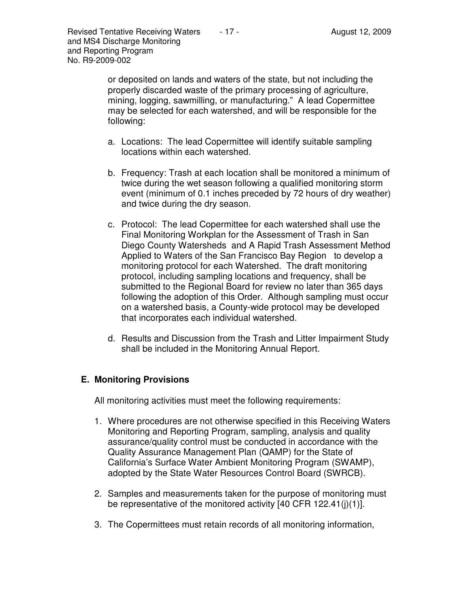or deposited on lands and waters of the state, but not including the properly discarded waste of the primary processing of agriculture, mining, logging, sawmilling, or manufacturing." A lead Copermittee may be selected for each watershed, and will be responsible for the following:

- a. Locations: The lead Copermittee will identify suitable sampling locations within each watershed.
- b. Frequency: Trash at each location shall be monitored a minimum of twice during the wet season following a qualified monitoring storm event (minimum of 0.1 inches preceded by 72 hours of dry weather) and twice during the dry season.
- c. Protocol: The lead Copermittee for each watershed shall use the Final Monitoring Workplan for the Assessment of Trash in San Diego County Watersheds and A Rapid Trash Assessment Method Applied to Waters of the San Francisco Bay Region to develop a monitoring protocol for each Watershed. The draft monitoring protocol, including sampling locations and frequency, shall be submitted to the Regional Board for review no later than 365 days following the adoption of this Order. Although sampling must occur on a watershed basis, a County-wide protocol may be developed that incorporates each individual watershed.
- d. Results and Discussion from the Trash and Litter Impairment Study shall be included in the Monitoring Annual Report.

# **E. Monitoring Provisions**

All monitoring activities must meet the following requirements:

- 1. Where procedures are not otherwise specified in this Receiving Waters Monitoring and Reporting Program, sampling, analysis and quality assurance/quality control must be conducted in accordance with the Quality Assurance Management Plan (QAMP) for the State of California's Surface Water Ambient Monitoring Program (SWAMP), adopted by the State Water Resources Control Board (SWRCB).
- 2. Samples and measurements taken for the purpose of monitoring must be representative of the monitored activity [40 CFR 122.41(j)(1)].
- 3. The Copermittees must retain records of all monitoring information,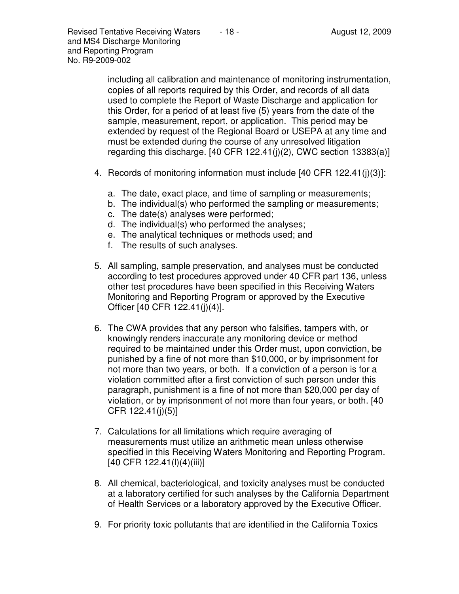including all calibration and maintenance of monitoring instrumentation, copies of all reports required by this Order, and records of all data used to complete the Report of Waste Discharge and application for this Order, for a period of at least five (5) years from the date of the sample, measurement, report, or application. This period may be extended by request of the Regional Board or USEPA at any time and must be extended during the course of any unresolved litigation regarding this discharge.  $[40 \text{ CFR } 122.41(j)(2)$ , CWC section  $13383(a)$ ]

- 4. Records of monitoring information must include [40 CFR 122.41(j)(3)]:
	- a. The date, exact place, and time of sampling or measurements;
	- b. The individual(s) who performed the sampling or measurements;
	- c. The date(s) analyses were performed;
	- d. The individual(s) who performed the analyses;
	- e. The analytical techniques or methods used; and
	- f. The results of such analyses.
- 5. All sampling, sample preservation, and analyses must be conducted according to test procedures approved under 40 CFR part 136, unless other test procedures have been specified in this Receiving Waters Monitoring and Reporting Program or approved by the Executive Officer [40 CFR 122.41(j)(4)].
- 6. The CWA provides that any person who falsifies, tampers with, or knowingly renders inaccurate any monitoring device or method required to be maintained under this Order must, upon conviction, be punished by a fine of not more than \$10,000, or by imprisonment for not more than two years, or both. If a conviction of a person is for a violation committed after a first conviction of such person under this paragraph, punishment is a fine of not more than \$20,000 per day of violation, or by imprisonment of not more than four years, or both. [40 CFR 122.41(j)(5)]
- 7. Calculations for all limitations which require averaging of measurements must utilize an arithmetic mean unless otherwise specified in this Receiving Waters Monitoring and Reporting Program. [40 CFR 122.41(l)(4)(iii)]
- 8. All chemical, bacteriological, and toxicity analyses must be conducted at a laboratory certified for such analyses by the California Department of Health Services or a laboratory approved by the Executive Officer.
- 9. For priority toxic pollutants that are identified in the California Toxics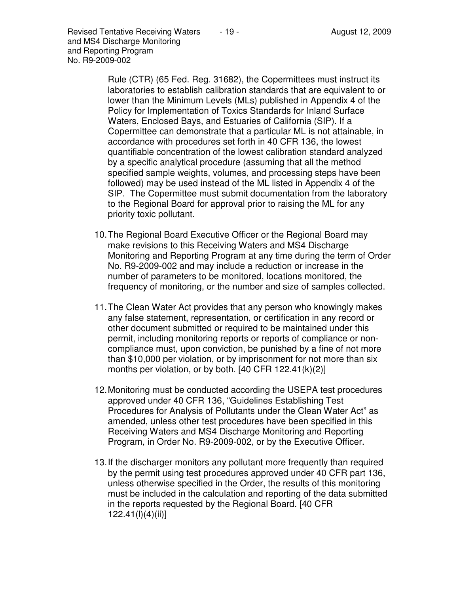Revised Tentative Receiving Waters  $\overline{a}$  - 19 -  $\overline{a}$  August 12, 2009 and MS4 Discharge Monitoring and Reporting Program No. R9-2009-002

> Rule (CTR) (65 Fed. Reg. 31682), the Copermittees must instruct its laboratories to establish calibration standards that are equivalent to or lower than the Minimum Levels (MLs) published in Appendix 4 of the Policy for Implementation of Toxics Standards for Inland Surface Waters, Enclosed Bays, and Estuaries of California (SIP). If a Copermittee can demonstrate that a particular ML is not attainable, in accordance with procedures set forth in 40 CFR 136, the lowest quantifiable concentration of the lowest calibration standard analyzed by a specific analytical procedure (assuming that all the method specified sample weights, volumes, and processing steps have been followed) may be used instead of the ML listed in Appendix 4 of the SIP. The Copermittee must submit documentation from the laboratory to the Regional Board for approval prior to raising the ML for any priority toxic pollutant.

- 10. The Regional Board Executive Officer or the Regional Board may make revisions to this Receiving Waters and MS4 Discharge Monitoring and Reporting Program at any time during the term of Order No. R9-2009-002 and may include a reduction or increase in the number of parameters to be monitored, locations monitored, the frequency of monitoring, or the number and size of samples collected.
- 11. The Clean Water Act provides that any person who knowingly makes any false statement, representation, or certification in any record or other document submitted or required to be maintained under this permit, including monitoring reports or reports of compliance or noncompliance must, upon conviction, be punished by a fine of not more than \$10,000 per violation, or by imprisonment for not more than six months per violation, or by both. [40 CFR 122.41(k)(2)]
- 12. Monitoring must be conducted according the USEPA test procedures approved under 40 CFR 136, "Guidelines Establishing Test Procedures for Analysis of Pollutants under the Clean Water Act" as amended, unless other test procedures have been specified in this Receiving Waters and MS4 Discharge Monitoring and Reporting Program, in Order No. R9-2009-002, or by the Executive Officer.
- 13. If the discharger monitors any pollutant more frequently than required by the permit using test procedures approved under 40 CFR part 136, unless otherwise specified in the Order, the results of this monitoring must be included in the calculation and reporting of the data submitted in the reports requested by the Regional Board. [40 CFR 122.41(l)(4)(ii)]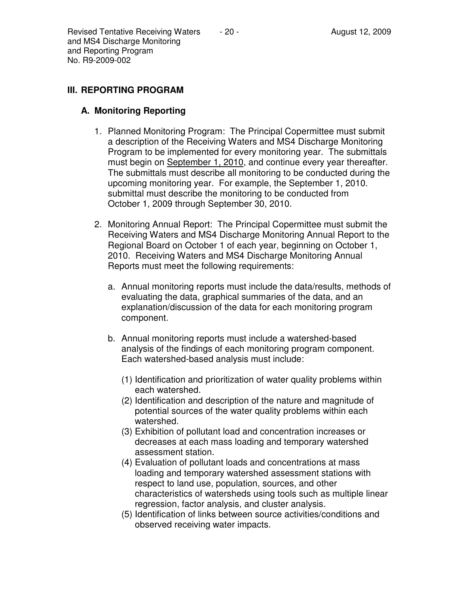## **III. REPORTING PROGRAM**

## **A. Monitoring Reporting**

- 1. Planned Monitoring Program: The Principal Copermittee must submit a description of the Receiving Waters and MS4 Discharge Monitoring Program to be implemented for every monitoring year. The submittals must begin on September 1, 2010, and continue every year thereafter. The submittals must describe all monitoring to be conducted during the upcoming monitoring year. For example, the September 1, 2010. submittal must describe the monitoring to be conducted from October 1, 2009 through September 30, 2010.
- 2. Monitoring Annual Report: The Principal Copermittee must submit the Receiving Waters and MS4 Discharge Monitoring Annual Report to the Regional Board on October 1 of each year, beginning on October 1, 2010. Receiving Waters and MS4 Discharge Monitoring Annual Reports must meet the following requirements:
	- a. Annual monitoring reports must include the data/results, methods of evaluating the data, graphical summaries of the data, and an explanation/discussion of the data for each monitoring program component.
	- b. Annual monitoring reports must include a watershed-based analysis of the findings of each monitoring program component. Each watershed-based analysis must include:
		- (1) Identification and prioritization of water quality problems within each watershed.
		- (2) Identification and description of the nature and magnitude of potential sources of the water quality problems within each watershed.
		- (3) Exhibition of pollutant load and concentration increases or decreases at each mass loading and temporary watershed assessment station.
		- (4) Evaluation of pollutant loads and concentrations at mass loading and temporary watershed assessment stations with respect to land use, population, sources, and other characteristics of watersheds using tools such as multiple linear regression, factor analysis, and cluster analysis.
		- (5) Identification of links between source activities/conditions and observed receiving water impacts.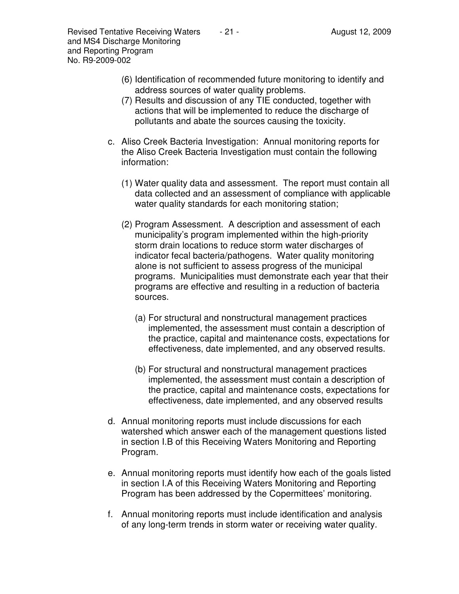- (7) Results and discussion of any TIE conducted, together with actions that will be implemented to reduce the discharge of pollutants and abate the sources causing the toxicity.
- c. Aliso Creek Bacteria Investigation: Annual monitoring reports for the Aliso Creek Bacteria Investigation must contain the following information:
	- (1) Water quality data and assessment. The report must contain all data collected and an assessment of compliance with applicable water quality standards for each monitoring station;
	- (2) Program Assessment. A description and assessment of each municipality's program implemented within the high-priority storm drain locations to reduce storm water discharges of indicator fecal bacteria/pathogens. Water quality monitoring alone is not sufficient to assess progress of the municipal programs. Municipalities must demonstrate each year that their programs are effective and resulting in a reduction of bacteria sources.
		- (a) For structural and nonstructural management practices implemented, the assessment must contain a description of the practice, capital and maintenance costs, expectations for effectiveness, date implemented, and any observed results.
		- (b) For structural and nonstructural management practices implemented, the assessment must contain a description of the practice, capital and maintenance costs, expectations for effectiveness, date implemented, and any observed results
- d. Annual monitoring reports must include discussions for each watershed which answer each of the management questions listed in section I.B of this Receiving Waters Monitoring and Reporting Program.
- e. Annual monitoring reports must identify how each of the goals listed in section I.A of this Receiving Waters Monitoring and Reporting Program has been addressed by the Copermittees' monitoring.
- f. Annual monitoring reports must include identification and analysis of any long-term trends in storm water or receiving water quality.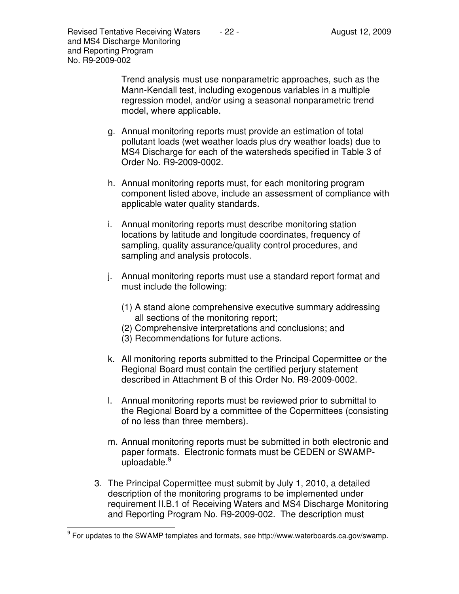Trend analysis must use nonparametric approaches, such as the Mann-Kendall test, including exogenous variables in a multiple regression model, and/or using a seasonal nonparametric trend model, where applicable.

- g. Annual monitoring reports must provide an estimation of total pollutant loads (wet weather loads plus dry weather loads) due to MS4 Discharge for each of the watersheds specified in Table 3 of Order No. R9-2009-0002.
- h. Annual monitoring reports must, for each monitoring program component listed above, include an assessment of compliance with applicable water quality standards.
- i. Annual monitoring reports must describe monitoring station locations by latitude and longitude coordinates, frequency of sampling, quality assurance/quality control procedures, and sampling and analysis protocols.
- j. Annual monitoring reports must use a standard report format and must include the following:
	- (1) A stand alone comprehensive executive summary addressing all sections of the monitoring report;
	- (2) Comprehensive interpretations and conclusions; and
	- (3) Recommendations for future actions.
- k. All monitoring reports submitted to the Principal Copermittee or the Regional Board must contain the certified perjury statement described in Attachment B of this Order No. R9-2009-0002.
- l. Annual monitoring reports must be reviewed prior to submittal to the Regional Board by a committee of the Copermittees (consisting of no less than three members).
- m. Annual monitoring reports must be submitted in both electronic and paper formats. Electronic formats must be CEDEN or SWAMPuploadable. $9^9$
- 3. The Principal Copermittee must submit by July 1, 2010, a detailed description of the monitoring programs to be implemented under requirement II.B.1 of Receiving Waters and MS4 Discharge Monitoring and Reporting Program No. R9-2009-002. The description must

 9 For updates to the SWAMP templates and formats, see http://www.waterboards.ca.gov/swamp.